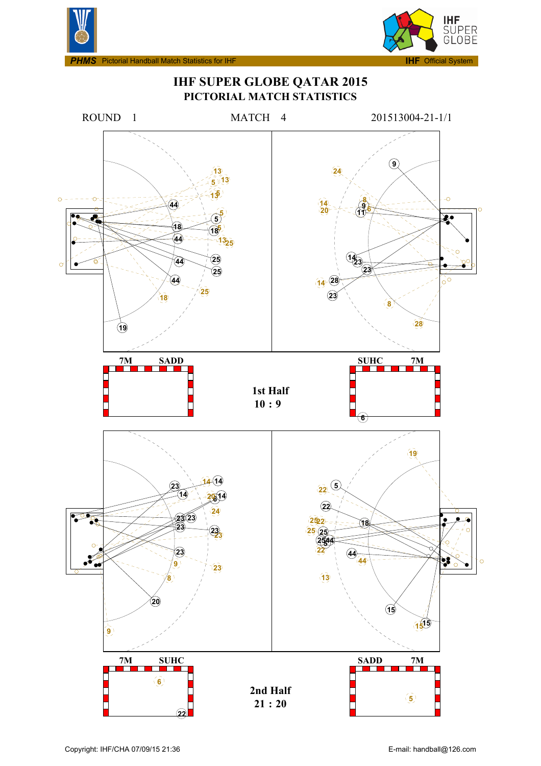



**IMS** Pictorial Handball Match Statistics for IHF

## **IHF SUPER GLOBE QATAR 2015 PICTORIAL MATCH STATISTICS**

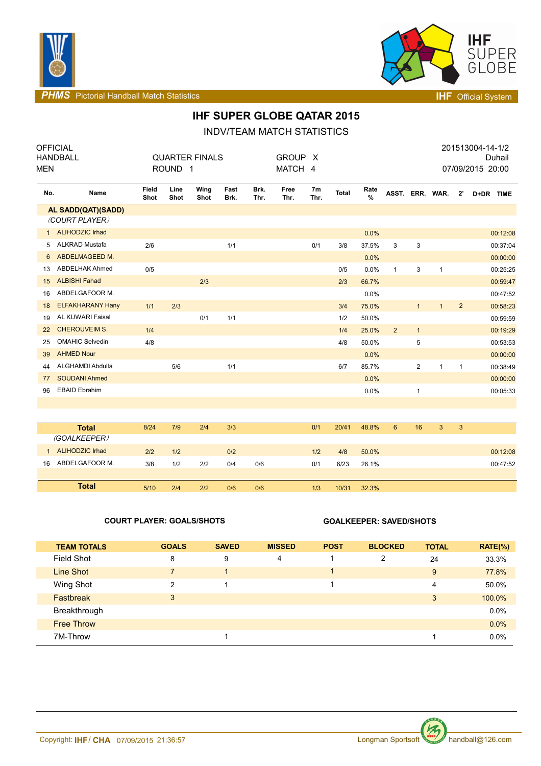



**PHMS** Pictorial Handball Match Statistics **INF** Official System

## **IHF SUPER GLOBE QATAR 2015**

INDV/TEAM MATCH STATISTICS

| <b>MEN</b>   | <b>OFFICIAL</b><br><b>HANDBALL</b> |                      | ROUND <sub>1</sub> | <b>QUARTER FINALS</b> |              |              | <b>GROUP</b><br>MATCH 4 | - X                    |       |           |                 |                |                 |                | 201513004-14-1/2<br>07/09/2015 20:00 | Duhail   |
|--------------|------------------------------------|----------------------|--------------------|-----------------------|--------------|--------------|-------------------------|------------------------|-------|-----------|-----------------|----------------|-----------------|----------------|--------------------------------------|----------|
| No.          | Name                               | <b>Field</b><br>Shot | Line<br>Shot       | Wing<br>Shot          | Fast<br>Brk. | Brk.<br>Thr. | Free<br>Thr.            | 7 <sub>m</sub><br>Thr. | Total | Rate<br>% |                 |                | ASST. ERR. WAR. | $2^{\prime}$   | D+DR TIME                            |          |
|              | AL SADD(QAT)(SADD)                 |                      |                    |                       |              |              |                         |                        |       |           |                 |                |                 |                |                                      |          |
|              | (COURT PLAYER)                     |                      |                    |                       |              |              |                         |                        |       |           |                 |                |                 |                |                                      |          |
| $\mathbf{1}$ | <b>ALIHODZIC Irhad</b>             |                      |                    |                       |              |              |                         |                        |       | 0.0%      |                 |                |                 |                |                                      | 00:12:08 |
| 5            | ALKRAD Mustafa                     | 2/6                  |                    |                       | 1/1          |              |                         | 0/1                    | 3/8   | 37.5%     | 3               | 3              |                 |                |                                      | 00:37:04 |
| 6            | ABDELMAGEED M.                     |                      |                    |                       |              |              |                         |                        |       | 0.0%      |                 |                |                 |                |                                      | 00:00:00 |
| 13           | <b>ABDELHAK Ahmed</b>              | 0/5                  |                    |                       |              |              |                         |                        | 0/5   | 0.0%      | $\mathbf{1}$    | 3              | $\mathbf{1}$    |                |                                      | 00:25:25 |
| 15           | <b>ALBISHI Fahad</b>               |                      |                    | 2/3                   |              |              |                         |                        | 2/3   | 66.7%     |                 |                |                 |                |                                      | 00:59:47 |
| 16           | ABDELGAFOOR M.                     |                      |                    |                       |              |              |                         |                        |       | 0.0%      |                 |                |                 |                |                                      | 00:47:52 |
| 18           | <b>ELFAKHARANY Hany</b>            | 1/1                  | 2/3                |                       |              |              |                         |                        | 3/4   | 75.0%     |                 | $\mathbf{1}$   | $\mathbf{1}$    | $\overline{2}$ |                                      | 00:58:23 |
| 19           | AL KUWARI Faisal                   |                      |                    | 0/1                   | 1/1          |              |                         |                        | 1/2   | 50.0%     |                 |                |                 |                |                                      | 00:59:59 |
| 22           | <b>CHEROUVEIM S.</b>               | 1/4                  |                    |                       |              |              |                         |                        | 1/4   | 25.0%     | $\overline{2}$  | $\mathbf{1}$   |                 |                |                                      | 00:19:29 |
| 25           | <b>OMAHIC Selvedin</b>             | 4/8                  |                    |                       |              |              |                         |                        | 4/8   | 50.0%     |                 | 5              |                 |                |                                      | 00:53:53 |
| 39           | <b>AHMED Nour</b>                  |                      |                    |                       |              |              |                         |                        |       | 0.0%      |                 |                |                 |                |                                      | 00:00:00 |
| 44           | ALGHAMDI Abdulla                   |                      | 5/6                |                       | 1/1          |              |                         |                        | 6/7   | 85.7%     |                 | $\overline{c}$ | $\mathbf{1}$    | $\mathbf{1}$   |                                      | 00:38:49 |
| 77           | <b>SOUDANI Ahmed</b>               |                      |                    |                       |              |              |                         |                        |       | 0.0%      |                 |                |                 |                |                                      | 00:00:00 |
| 96           | <b>EBAID Ebrahim</b>               |                      |                    |                       |              |              |                         |                        |       | 0.0%      |                 | $\mathbf{1}$   |                 |                |                                      | 00:05:33 |
|              |                                    |                      |                    |                       |              |              |                         |                        |       |           |                 |                |                 |                |                                      |          |
|              |                                    |                      |                    |                       |              |              |                         |                        |       |           |                 |                |                 |                |                                      |          |
|              | <b>Total</b>                       | 8/24                 | 7/9                | 2/4                   | 3/3          |              |                         | 0/1                    | 20/41 | 48.8%     | $6\phantom{1}6$ | 16             | 3               | 3              |                                      |          |
|              | (GOALKEEPER)                       |                      |                    |                       |              |              |                         |                        |       |           |                 |                |                 |                |                                      |          |
| $\mathbf{1}$ | <b>ALIHODZIC Irhad</b>             | 2/2                  | 1/2                |                       | 0/2          |              |                         | 1/2                    | 4/8   | 50.0%     |                 |                |                 |                |                                      | 00:12:08 |
| 16           | ABDELGAFOOR M.                     | 3/8                  | 1/2                | 2/2                   | 0/4          | 0/6          |                         | 0/1                    | 6/23  | 26.1%     |                 |                |                 |                |                                      | 00:47:52 |
|              |                                    |                      |                    |                       |              |              |                         |                        |       |           |                 |                |                 |                |                                      |          |
|              | <b>Total</b>                       | 5/10                 | 2/4                | 2/2                   | 0/6          | 0/6          |                         | 1/3                    | 10/31 | 32.3%     |                 |                |                 |                |                                      |          |

### **COURT PLAYER: GOALS/SHOTS GOALKEEPER: SAVED/SHOTS**

| <b>TEAM TOTALS</b> | <b>GOALS</b>   | <b>SAVED</b> | <b>MISSED</b> | <b>POST</b> | <b>BLOCKED</b> | <b>TOTAL</b> | $RATE(\%)$ |
|--------------------|----------------|--------------|---------------|-------------|----------------|--------------|------------|
| Field Shot         | 8              | 9            | 4             |             | $\overline{2}$ | 24           | 33.3%      |
| Line Shot          | $\overline{7}$ | 1            |               |             |                | 9            | 77.8%      |
| Wing Shot          | 2              |              |               |             |                | 4            | 50.0%      |
| <b>Fastbreak</b>   | 3              |              |               |             |                | 3            | 100.0%     |
| Breakthrough       |                |              |               |             |                |              | 0.0%       |
| <b>Free Throw</b>  |                |              |               |             |                |              | 0.0%       |
| 7M-Throw           |                |              |               |             |                |              | 0.0%       |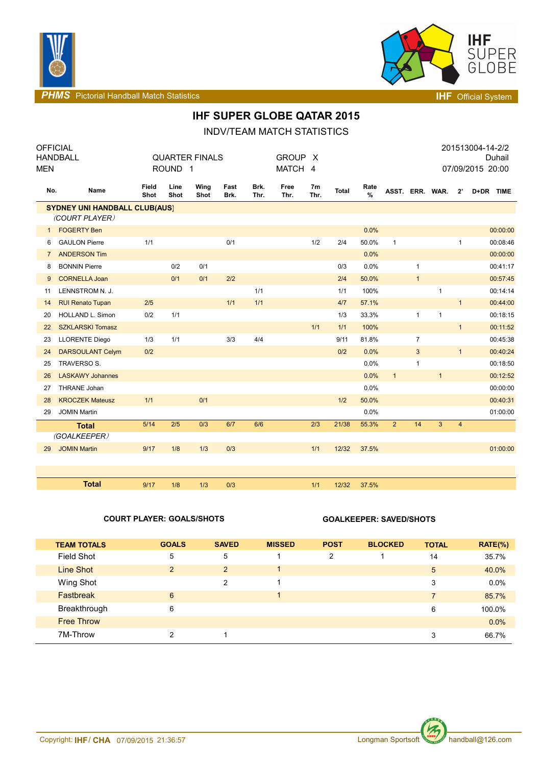



**PHMS** Pictorial Handball Match Statistics **Interval and Contract Contract Contract Contract Contract Contract Contract Contract Contract Contract Contract Contract Contract Contract Contract Contract Contract Contract Con** 

## **IHF SUPER GLOBE QATAR 2015**

INDV/TEAM MATCH STATISTICS

| <b>OFFICIAL</b>                      | HANDBALL                |               | <b>QUARTER FINALS</b> |              |              |              |              | <b>GROUP</b><br>X      |              |              |                 |                |              |                | 201513004-14-2/2<br>Duhail |
|--------------------------------------|-------------------------|---------------|-----------------------|--------------|--------------|--------------|--------------|------------------------|--------------|--------------|-----------------|----------------|--------------|----------------|----------------------------|
| MEN                                  |                         |               | ROUND <sub>1</sub>    |              |              |              | MATCH 4      |                        |              |              |                 |                |              |                | 07/09/2015 20:00           |
| No.                                  | Name                    | Field<br>Shot | Line<br>Shot          | Wing<br>Shot | Fast<br>Brk. | Brk.<br>Thr. | Free<br>Thr. | 7 <sub>m</sub><br>Thr. | <b>Total</b> | Rate<br>$\%$ | ASST. ERR. WAR. |                |              | $2^{\prime}$   | D+DR TIME                  |
| <b>SYDNEY UNI HANDBALL CLUB(AUS)</b> |                         |               |                       |              |              |              |              |                        |              |              |                 |                |              |                |                            |
|                                      | (COURT PLAYER)          |               |                       |              |              |              |              |                        |              |              |                 |                |              |                |                            |
| $\mathbf{1}$                         | <b>FOGERTY Ben</b>      |               |                       |              |              |              |              |                        |              | 0.0%         |                 |                |              |                | 00:00:00                   |
| 6                                    | <b>GAULON Pierre</b>    | 1/1           |                       |              | 0/1          |              |              | 1/2                    | 2/4          | 50.0%        | $\mathbf{1}$    |                |              | $\mathbf{1}$   | 00:08:46                   |
| $\overline{7}$                       | <b>ANDERSON Tim</b>     |               |                       |              |              |              |              |                        |              | 0.0%         |                 |                |              |                | 00:00:00                   |
| 8                                    | <b>BONNIN Pierre</b>    |               | 0/2                   | 0/1          |              |              |              |                        | 0/3          | 0.0%         |                 | $\mathbf{1}$   |              |                | 00:41:17                   |
| 9                                    | <b>CORNELLA Joan</b>    |               | 0/1                   | 0/1          | 2/2          |              |              |                        | 2/4          | 50.0%        |                 | $\mathbf{1}$   |              |                | 00:57:45                   |
| 11                                   | LENNSTROM N. J.         |               |                       |              |              | 1/1          |              |                        | 1/1          | 100%         |                 |                | $\mathbf{1}$ |                | 00:14:14                   |
| 14                                   | <b>RUI Renato Tupan</b> | 2/5           |                       |              | 1/1          | $1/1$        |              |                        | 4/7          | 57.1%        |                 |                |              | $\mathbf{1}$   | 00:44:00                   |
| 20                                   | <b>HOLLAND L. Simon</b> | 0/2           | 1/1                   |              |              |              |              |                        | 1/3          | 33.3%        |                 | $\mathbf{1}$   | $\mathbf{1}$ |                | 00:18:15                   |
| 22                                   | <b>SZKLARSKI Tomasz</b> |               |                       |              |              |              |              | $1/1$                  | $1/1$        | 100%         |                 |                |              | $\mathbf{1}$   | 00:11:52                   |
| 23                                   | <b>LLORENTE Diego</b>   | 1/3           | 1/1                   |              | 3/3          | 4/4          |              |                        | 9/11         | 81.8%        |                 | $\overline{7}$ |              |                | 00:45:38                   |
| 24                                   | <b>DARSOULANT Celym</b> | 0/2           |                       |              |              |              |              |                        | 0/2          | 0.0%         |                 | $\mathbf{3}$   |              | $\mathbf{1}$   | 00:40:24                   |
| 25                                   | TRAVERSO S.             |               |                       |              |              |              |              |                        |              | 0.0%         |                 | $\mathbf{1}$   |              |                | 00:18:50                   |
| 26                                   | <b>LASKAWY Johannes</b> |               |                       |              |              |              |              |                        |              | 0.0%         | $\mathbf{1}$    |                | 1            |                | 00:12:52                   |
| 27                                   | <b>THRANE Johan</b>     |               |                       |              |              |              |              |                        |              | 0.0%         |                 |                |              |                | 00:00:00                   |
| 28                                   | <b>KROCZEK Mateusz</b>  | 1/1           |                       | 0/1          |              |              |              |                        | 1/2          | 50.0%        |                 |                |              |                | 00:40:31                   |
| 29                                   | <b>JOMIN Martin</b>     |               |                       |              |              |              |              |                        |              | 0.0%         |                 |                |              |                | 01:00:00                   |
|                                      | <b>Total</b>            | 5/14          | 2/5                   | 0/3          | 6/7          | 6/6          |              | 2/3                    | 21/38        | 55.3%        | $\overline{2}$  | 14             | 3            | $\overline{4}$ |                            |
|                                      | (GOALKEEPER)            |               |                       |              |              |              |              |                        |              |              |                 |                |              |                |                            |
| 29                                   | <b>JOMIN Martin</b>     | 9/17          | 1/8                   | 1/3          | 0/3          |              |              | 1/1                    | 12/32        | 37.5%        |                 |                |              |                | 01:00:00                   |
|                                      |                         |               |                       |              |              |              |              |                        |              |              |                 |                |              |                |                            |
|                                      |                         |               |                       |              |              |              |              |                        |              |              |                 |                |              |                |                            |
|                                      | <b>Total</b>            | 9/17          | 1/8                   | 1/3          | 0/3          |              |              | 1/1                    | 12/32        | 37.5%        |                 |                |              |                |                            |

### **COURT PLAYER: GOALS/SHOTS GOALKEEPER: SAVED/SHOTS**

| <b>TEAM TOTALS</b> | <b>GOALS</b>  | <b>SAVED</b> | <b>MISSED</b> | <b>POST</b>    | <b>BLOCKED</b> | <b>TOTAL</b>   | $RATE(\% )$ |
|--------------------|---------------|--------------|---------------|----------------|----------------|----------------|-------------|
| <b>Field Shot</b>  | 5             | 5            |               | $\overline{2}$ |                | 14             | 35.7%       |
| Line Shot          | $\mathcal{P}$ | 2            |               |                |                | 5              | 40.0%       |
| Wing Shot          |               | 2            |               |                |                | 3              | $0.0\%$     |
| Fastbreak          | 6             |              |               |                |                | $\overline{7}$ | 85.7%       |
| Breakthrough       | 6             |              |               |                |                | 6              | 100.0%      |
| <b>Free Throw</b>  |               |              |               |                |                |                | $0.0\%$     |
| 7M-Throw           | າ             |              |               |                |                | 3              | 66.7%       |